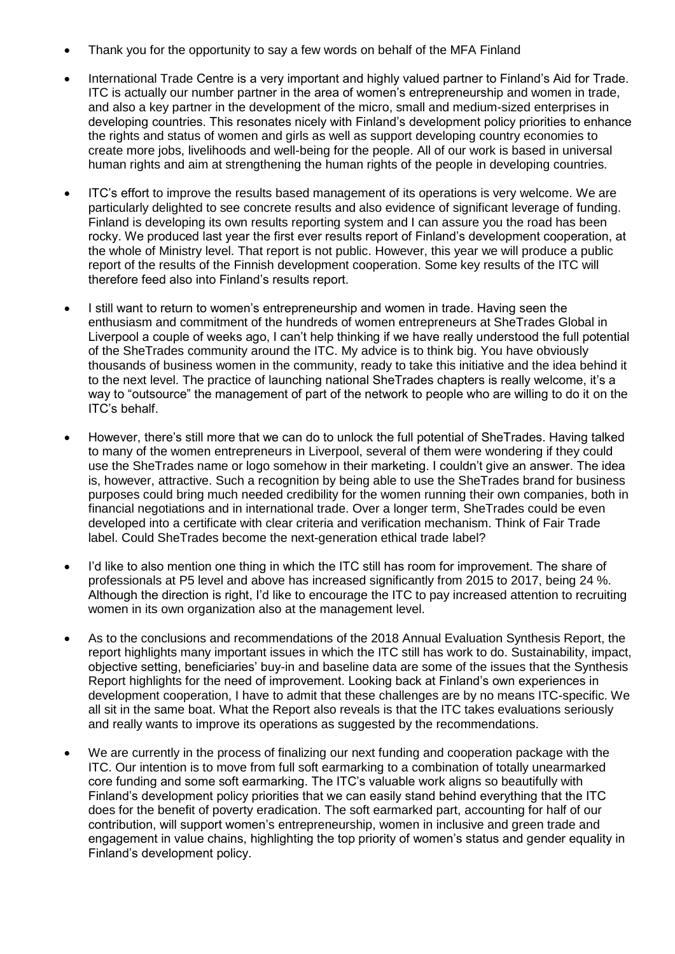- Thank you for the opportunity to say a few words on behalf of the MFA Finland
- International Trade Centre is a very important and highly valued partner to Finland's Aid for Trade. ITC is actually our number partner in the area of women's entrepreneurship and women in trade, and also a key partner in the development of the micro, small and medium-sized enterprises in developing countries. This resonates nicely with Finland's development policy priorities to enhance the rights and status of women and girls as well as support developing country economies to create more jobs, livelihoods and well-being for the people. All of our work is based in universal human rights and aim at strengthening the human rights of the people in developing countries.
- ITC's effort to improve the results based management of its operations is very welcome. We are particularly delighted to see concrete results and also evidence of significant leverage of funding. Finland is developing its own results reporting system and I can assure you the road has been rocky. We produced last year the first ever results report of Finland's development cooperation, at the whole of Ministry level. That report is not public. However, this year we will produce a public report of the results of the Finnish development cooperation. Some key results of the ITC will therefore feed also into Finland's results report.
- I still want to return to women's entrepreneurship and women in trade. Having seen the enthusiasm and commitment of the hundreds of women entrepreneurs at SheTrades Global in Liverpool a couple of weeks ago, I can't help thinking if we have really understood the full potential of the SheTrades community around the ITC. My advice is to think big. You have obviously thousands of business women in the community, ready to take this initiative and the idea behind it to the next level. The practice of launching national SheTrades chapters is really welcome, it's a way to "outsource" the management of part of the network to people who are willing to do it on the ITC's behalf.
- However, there's still more that we can do to unlock the full potential of SheTrades. Having talked to many of the women entrepreneurs in Liverpool, several of them were wondering if they could use the SheTrades name or logo somehow in their marketing. I couldn't give an answer. The idea is, however, attractive. Such a recognition by being able to use the SheTrades brand for business purposes could bring much needed credibility for the women running their own companies, both in financial negotiations and in international trade. Over a longer term, SheTrades could be even developed into a certificate with clear criteria and verification mechanism. Think of Fair Trade label. Could SheTrades become the next-generation ethical trade label?
- I'd like to also mention one thing in which the ITC still has room for improvement. The share of professionals at P5 level and above has increased significantly from 2015 to 2017, being 24 %. Although the direction is right, I'd like to encourage the ITC to pay increased attention to recruiting women in its own organization also at the management level.
- As to the conclusions and recommendations of the 2018 Annual Evaluation Synthesis Report, the report highlights many important issues in which the ITC still has work to do. Sustainability, impact, objective setting, beneficiaries' buy-in and baseline data are some of the issues that the Synthesis Report highlights for the need of improvement. Looking back at Finland's own experiences in development cooperation, I have to admit that these challenges are by no means ITC-specific. We all sit in the same boat. What the Report also reveals is that the ITC takes evaluations seriously and really wants to improve its operations as suggested by the recommendations.
- We are currently in the process of finalizing our next funding and cooperation package with the ITC. Our intention is to move from full soft earmarking to a combination of totally unearmarked core funding and some soft earmarking. The ITC's valuable work aligns so beautifully with Finland's development policy priorities that we can easily stand behind everything that the ITC does for the benefit of poverty eradication. The soft earmarked part, accounting for half of our contribution, will support women's entrepreneurship, women in inclusive and green trade and engagement in value chains, highlighting the top priority of women's status and gender equality in Finland's development policy.